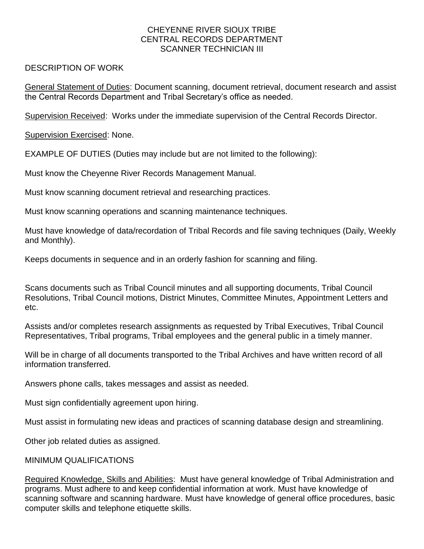## CHEYENNE RIVER SIOUX TRIBE CENTRAL RECORDS DEPARTMENT SCANNER TECHNICIAN III

## DESCRIPTION OF WORK

General Statement of Duties: Document scanning, document retrieval, document research and assist the Central Records Department and Tribal Secretary's office as needed.

Supervision Received: Works under the immediate supervision of the Central Records Director.

Supervision Exercised: None.

EXAMPLE OF DUTIES (Duties may include but are not limited to the following):

Must know the Cheyenne River Records Management Manual.

Must know scanning document retrieval and researching practices.

Must know scanning operations and scanning maintenance techniques.

Must have knowledge of data/recordation of Tribal Records and file saving techniques (Daily, Weekly and Monthly).

Keeps documents in sequence and in an orderly fashion for scanning and filing.

Scans documents such as Tribal Council minutes and all supporting documents, Tribal Council Resolutions, Tribal Council motions, District Minutes, Committee Minutes, Appointment Letters and etc.

Assists and/or completes research assignments as requested by Tribal Executives, Tribal Council Representatives, Tribal programs, Tribal employees and the general public in a timely manner.

Will be in charge of all documents transported to the Tribal Archives and have written record of all information transferred.

Answers phone calls, takes messages and assist as needed.

Must sign confidentially agreement upon hiring.

Must assist in formulating new ideas and practices of scanning database design and streamlining.

Other job related duties as assigned.

## MINIMUM QUALIFICATIONS

Required Knowledge, Skills and Abilities: Must have general knowledge of Tribal Administration and programs. Must adhere to and keep confidential information at work. Must have knowledge of scanning software and scanning hardware. Must have knowledge of general office procedures, basic computer skills and telephone etiquette skills.